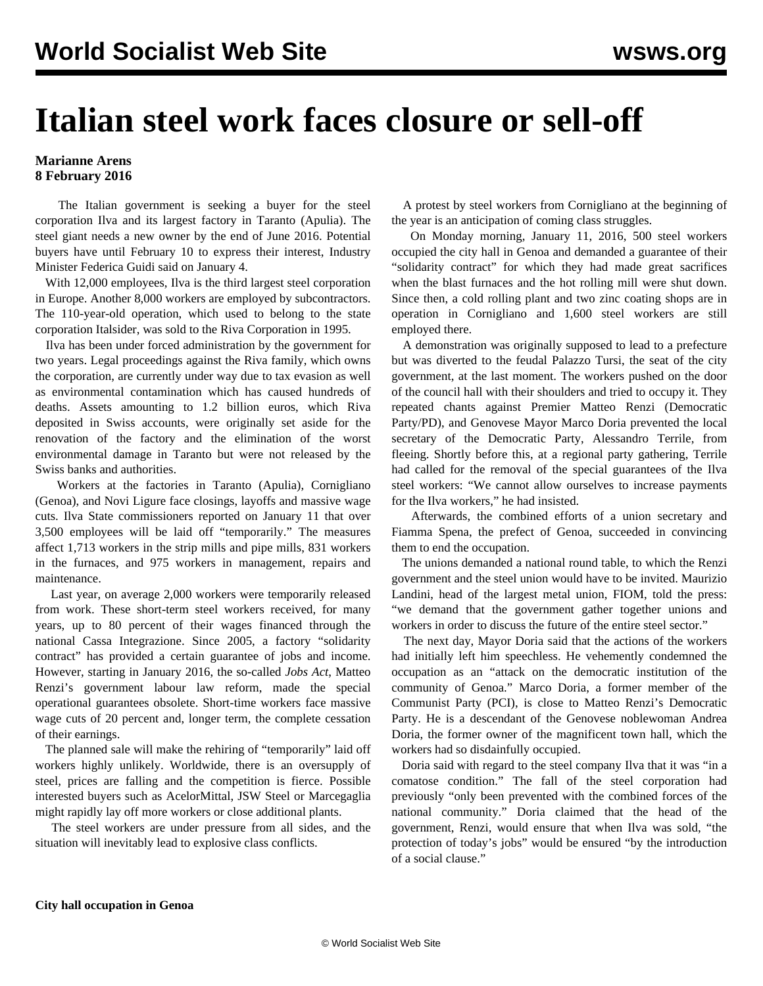## **Italian steel work faces closure or sell-off**

## **Marianne Arens 8 February 2016**

 The Italian government is seeking a buyer for the steel corporation Ilva and its largest factory in Taranto (Apulia). The steel giant needs a new owner by the end of June 2016. Potential buyers have until February 10 to express their interest, Industry Minister Federica Guidi said on January 4.

 With 12,000 employees, Ilva is the third largest steel corporation in Europe. Another 8,000 workers are employed by subcontractors. The 110-year-old operation, which used to belong to the state corporation Italsider, was sold to the Riva Corporation in 1995.

 Ilva has been under forced administration by the government for two years. Legal proceedings against the Riva family, which owns the corporation, are currently under way due to tax evasion as well as environmental contamination which has caused hundreds of deaths. Assets amounting to 1.2 billion euros, which Riva deposited in Swiss accounts, were originally set aside for the renovation of the factory and the elimination of the worst environmental damage in Taranto but were not released by the Swiss banks and authorities.

 Workers at the factories in Taranto (Apulia), Cornigliano (Genoa), and Novi Ligure face closings, layoffs and massive wage cuts. Ilva State commissioners reported on January 11 that over 3,500 employees will be laid off "temporarily." The measures affect 1,713 workers in the strip mills and pipe mills, 831 workers in the furnaces, and 975 workers in management, repairs and maintenance.

 Last year, on average 2,000 workers were temporarily released from work. These short-term steel workers received, for many years, up to 80 percent of their wages financed through the national Cassa Integrazione. Since 2005, a factory "solidarity contract" has provided a certain guarantee of jobs and income. However, starting in January 2016, the so-called *Jobs Act*, Matteo Renzi's government labour law reform, made the special operational guarantees obsolete. Short-time workers face massive wage cuts of 20 percent and, longer term, the complete cessation of their earnings.

 The planned sale will make the rehiring of "temporarily" laid off workers highly unlikely. Worldwide, there is an oversupply of steel, prices are falling and the competition is fierce. Possible interested buyers such as AcelorMittal, JSW Steel or Marcegaglia might rapidly lay off more workers or close additional plants.

 The steel workers are under pressure from all sides, and the situation will inevitably lead to explosive class conflicts.

 A protest by steel workers from Cornigliano at the beginning of the year is an anticipation of coming class struggles.

 On Monday morning, January 11, 2016, 500 steel workers occupied the city hall in Genoa and demanded a guarantee of their "solidarity contract" for which they had made great sacrifices when the blast furnaces and the hot rolling mill were shut down. Since then, a cold rolling plant and two zinc coating shops are in operation in Cornigliano and 1,600 steel workers are still employed there.

 A demonstration was originally supposed to lead to a prefecture but was diverted to the feudal Palazzo Tursi, the seat of the city government, at the last moment. The workers pushed on the door of the council hall with their shoulders and tried to occupy it. They repeated chants against Premier Matteo Renzi (Democratic Party/PD), and Genovese Mayor Marco Doria prevented the local secretary of the Democratic Party, Alessandro Terrile, from fleeing. Shortly before this, at a regional party gathering, Terrile had called for the removal of the special guarantees of the Ilva steel workers: "We cannot allow ourselves to increase payments for the Ilva workers," he had insisted.

 Afterwards, the combined efforts of a union secretary and Fiamma Spena, the prefect of Genoa, succeeded in convincing them to end the occupation.

 The unions demanded a national round table, to which the Renzi government and the steel union would have to be invited. Maurizio Landini, head of the largest metal union, FIOM, told the press: "we demand that the government gather together unions and workers in order to discuss the future of the entire steel sector."

 The next day, Mayor Doria said that the actions of the workers had initially left him speechless. He vehemently condemned the occupation as an "attack on the democratic institution of the community of Genoa." Marco Doria, a former member of the Communist Party (PCI), is close to Matteo Renzi's Democratic Party. He is a descendant of the Genovese noblewoman Andrea Doria, the former owner of the magnificent town hall, which the workers had so disdainfully occupied.

 Doria said with regard to the steel company Ilva that it was "in a comatose condition." The fall of the steel corporation had previously "only been prevented with the combined forces of the national community." Doria claimed that the head of the government, Renzi, would ensure that when Ilva was sold, "the protection of today's jobs" would be ensured "by the introduction of a social clause."